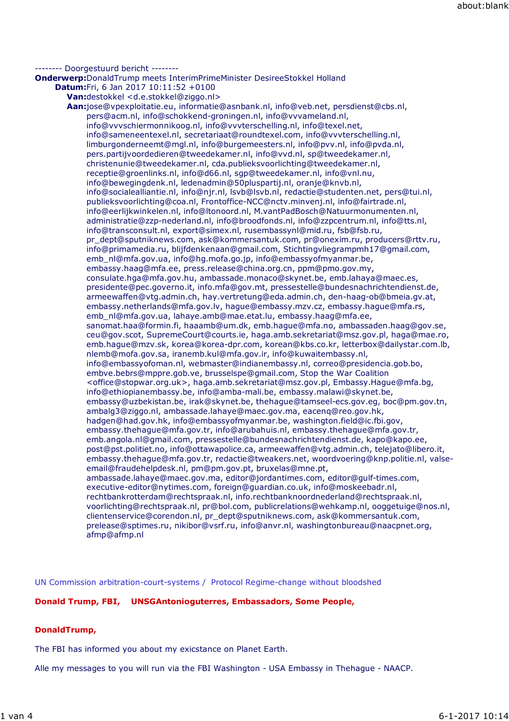#### -------- Doorgestuurd bericht -------- **Onderwerp:**DonaldTrump meets InterimPrimeMinister DesireeStokkel Holland **Datum:**Fri, 6 Jan 2017 10:11:52 +0100 **Van:**destokkel <d.e.stokkel@ziggo.nl> **Aan:**jose@vpexploitatie.eu, informatie@asnbank.nl, info@veb.net, persdienst@cbs.nl, pers@acm.nl, info@schokkend-groningen.nl, info@vvvameland.nl, info@vvvschiermonnikoog.nl, info@vvvterschelling.nl, info@texel.net, info@sameneentexel.nl, secretariaat@roundtexel.com, info@vvvterschelling.nl, limburgonderneemt@mgl.nl, info@burgemeesters.nl, info@pvv.nl, info@pvda.nl, pers.partijvoordedieren@tweedekamer.nl, info@vvd.nl, sp@tweedekamer.nl, christenunie@tweedekamer.nl, cda.publieksvoorlichting@tweedekamer.nl, receptie@groenlinks.nl, info@d66.nl, sgp@tweedekamer.nl, info@vnl.nu, info@bewegingdenk.nl, ledenadmin@50pluspartij.nl, oranje@knvb.nl, info@socialealliantie.nl, info@njr.nl, lsvb@lsvb.nl, redactie@studenten.net, pers@tui.nl, publieksvoorlichting@coa.nl, Frontoffice-NCC@nctv.minvenj.nl, info@fairtrade.nl, info@eerlijkwinkelen.nl, info@ltonoord.nl, M.vantPadBosch@Natuurmonumenten.nl, administratie@zzp-nederland.nl, info@broodfonds.nl, info@zzpcentrum.nl, info@tts.nl, info@transconsult.nl, export@simex.nl, rusembassynl@mid.ru, fsb@fsb.ru, pr\_dept@sputniknews.com, ask@kommersantuk.com, pr@onexim.ru, producers@rttv.ru, info@primamedia.ru, blijfdenkenaan@gmail.com, Stichtingvliegrampmh17@gmail.com, emb\_nl@mfa.gov.ua, info@hg.mofa.go.jp, info@embassyofmyanmar.be, embassy.haag@mfa.ee, press.release@china.org.cn, ppm@pmo.gov.my, consulate.hga@mfa.gov.hu, ambassade.monaco@skynet.be, emb.lahaya@maec.es, presidente@pec.governo.it, info.mfa@gov.mt, pressestelle@bundesnachrichtendienst.de, armeewaffen@vtg.admin.ch, hay.vertretung@eda.admin.ch, den-haag-ob@bmeia.gv.at, embassy.netherlands@mfa.gov.lv, hague@embassy.mzv.cz, embassy.hague@mfa.rs, emb\_nl@mfa.gov.ua, lahaye.amb@mae.etat.lu, embassy.haag@mfa.ee, sanomat.haa@formin.fi, haaamb@um.dk, emb.hague@mfa.no, ambassaden.haag@gov.se, ceu@gov.scot, SupremeCourt@courts.ie, haga.amb.sekretariat@msz.gov.pl, haga@mae.ro, emb.hague@mzv.sk, korea@korea-dpr.com, korean@kbs.co.kr, letterbox@dailystar.com.lb, nlemb@mofa.gov.sa, iranemb.kul@mfa.gov.ir, info@kuwaitembassy.nl, info@embassyofoman.nl, webmaster@indianembassy.nl, correo@presidencia.gob.bo, embve.bebrs@mppre.gob.ve, brusselspe@gmail.com, Stop the War Coalition <office@stopwar.org.uk>, haga.amb.sekretariat@msz.gov.pl, Embassy.Hague@mfa.bg, info@ethiopianembassy.be, info@amba-mali.be, embassy.malawi@skynet.be, embassy@uzbekistan.be, irak@skynet.be, thehague@tamseel-ecs.gov.eg, boc@pm.gov.tn, ambalg3@ziggo.nl, ambassade.lahaye@maec.gov.ma, eacenq@reo.gov.hk, hadgen@had.gov.hk, info@embassyofmyanmar.be, washington.field@ic.fbi.gov, embassy.thehague@mfa.gov.tr, info@arubahuis.nl, embassy.thehague@mfa.gov.tr, emb.angola.nl@gmail.com, pressestelle@bundesnachrichtendienst.de, kapo@kapo.ee, post@pst.politiet.no, info@ottawapolice.ca, armeewaffen@vtg.admin.ch, telejato@libero.it, embassy.thehague@mfa.gov.tr, redactie@tweakers.net, woordvoering@knp.politie.nl, valseemail@fraudehelpdesk.nl, pm@pm.gov.pt, bruxelas@mne.pt, ambassade.lahaye@maec.gov.ma, editor@jordantimes.com, editor@gulf-times.com, executive-editor@nytimes.com, foreign@guardian.co.uk, info@moskeebadr.nl, rechtbankrotterdam@rechtspraak.nl, info.rechtbanknoordnederland@rechtspraak.nl, voorlichting@rechtspraak.nl, pr@bol.com, publicrelations@wehkamp.nl, ooggetuige@nos.nl, clientenservice@corendon.nl, pr\_dept@sputniknews.com, ask@kommersantuk.com, prelease@sptimes.ru, nikibor@vsrf.ru, info@anvr.nl, washingtonbureau@naacpnet.org, afmp@afmp.nl

UN Commission arbitration-court-systems / Protocol Regime-change without bloodshed

# **Donald Trump, FBI, UNSGAntonioguterres, Embassadors, Some People,**

# **DonaldTrump,**

The FBI has informed you about my exicstance on Planet Earth.

Alle my messages to you will run via the FBI Washington - USA Embassy in Thehague - NAACP.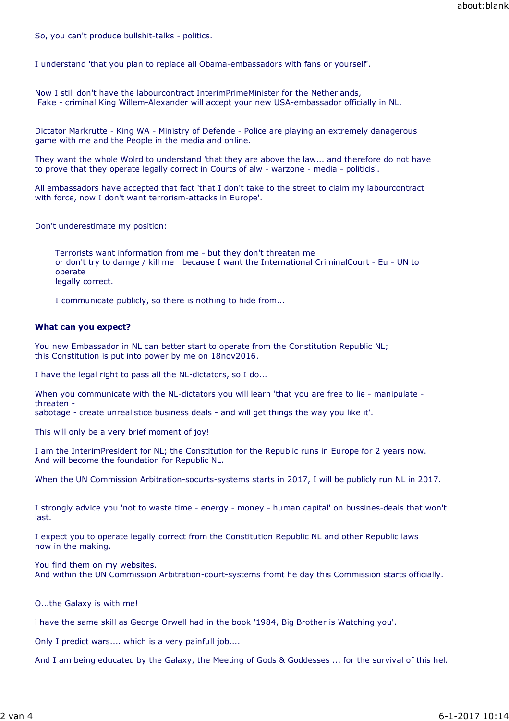So, you can't produce bullshit-talks - politics.

I understand 'that you plan to replace all Obama-embassadors with fans or yourself'.

Now I still don't have the labourcontract InterimPrimeMinister for the Netherlands, Fake - criminal King Willem-Alexander will accept your new USA-embassador officially in NL.

Dictator Markrutte - King WA - Ministry of Defende - Police are playing an extremely danagerous game with me and the People in the media and online.

They want the whole Wolrd to understand 'that they are above the law... and therefore do not have to prove that they operate legally correct in Courts of alw - warzone - media - politicis'.

All embassadors have accepted that fact 'that I don't take to the street to claim my labourcontract with force, now I don't want terrorism-attacks in Europe'.

Don't underestimate my position:

Terrorists want information from me - but they don't threaten me or don't try to damge / kill me because I want the International CriminalCourt - Eu - UN to operate legally correct.

I communicate publicly, so there is nothing to hide from...

#### **What can you expect?**

You new Embassador in NL can better start to operate from the Constitution Republic NL; this Constitution is put into power by me on 18nov2016.

I have the legal right to pass all the NL-dictators, so I do...

When you communicate with the NL-dictators you will learn 'that you are free to lie - manipulate threaten -

sabotage - create unrealistice business deals - and will get things the way you like it'.

This will only be a very brief moment of joy!

I am the InterimPresident for NL; the Constitution for the Republic runs in Europe for 2 years now. And will become the foundation for Republic NL.

When the UN Commission Arbitration-socurts-systems starts in 2017, I will be publicly run NL in 2017.

I strongly advice you 'not to waste time - energy - money - human capital' on bussines-deals that won't last.

I expect you to operate legally correct from the Constitution Republic NL and other Republic laws now in the making.

You find them on my websites.

And within the UN Commission Arbitration-court-systems fromt he day this Commission starts officially.

O...the Galaxy is with me!

i have the same skill as George Orwell had in the book '1984, Big Brother is Watching you'.

Only I predict wars.... which is a very painfull job....

And I am being educated by the Galaxy, the Meeting of Gods & Goddesses ... for the survival of this hel.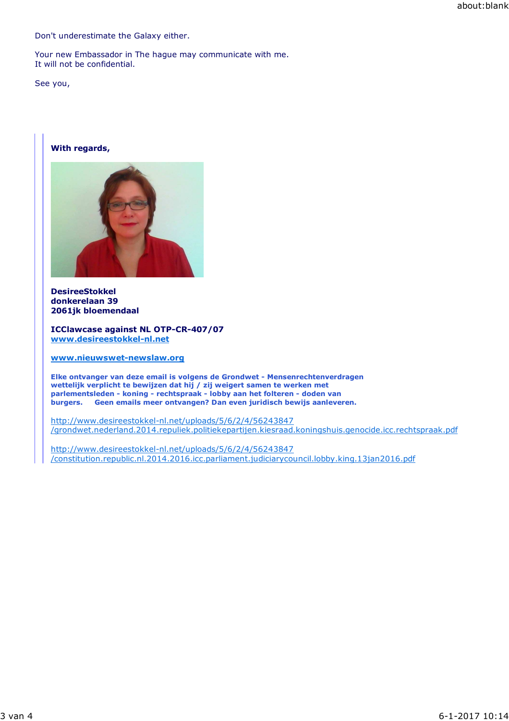Don't underestimate the Galaxy either.

Your new Embassador in The hague may communicate with me. It will not be confidential.

See you,

### **With regards,**



**DesireeStokkel donkerelaan 39 2061jk bloemendaal**

**ICClawcase against NL OTP-CR-407/07 www.desireestokkel-nl.net**

**www.nieuwswet-newslaw.org**

**Elke ontvanger van deze email is volgens de Grondwet - Mensenrechtenverdragen wettelijk verplicht te bewijzen dat hij / zij weigert samen te werken met parlementsleden - koning - rechtspraak - lobby aan het folteren - doden van burgers. Geen emails meer ontvangen? Dan even juridisch bewijs aanleveren.**

http://www.desireestokkel-nl.net/uploads/5/6/2/4/56243847 /grondwet.nederland.2014.repuliek.politiekepartijen.kiesraad.koningshuis.genocide.icc.rechtspraak.pdf

http://www.desireestokkel-nl.net/uploads/5/6/2/4/56243847 /constitution.republic.nl.2014.2016.icc.parliament.judiciarycouncil.lobby.king.13jan2016.pdf